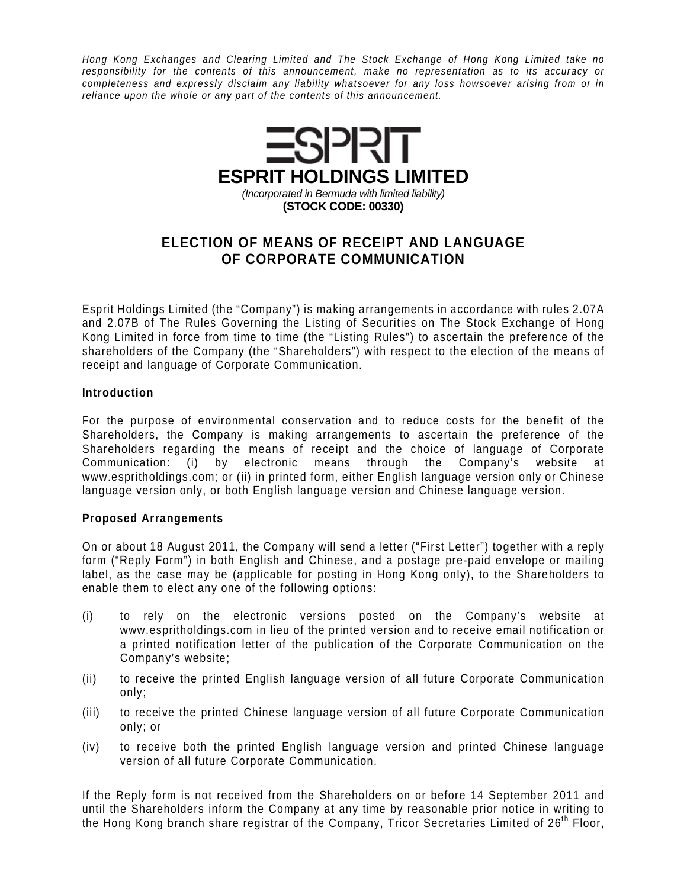Hong Kong Exchanges and Clearing Limited and The Stock Exchange of Hong Kong Limited take no responsibility for the contents of this announcement, make no representation as to its accuracy or completeness and expressly disclaim any liability whatsoever for any loss howsoever arising from or in reliance upon the whole or any part of the contents of this announcement.



## **ELECTION OF MEANS OF RECEIPT AND LANGUAGE OF CORPORATE COMMUNICATION**

Esprit Holdings Limited (the "Company") is making arrangements in accordance with rules 2.07A and 2.07B of The Rules Governing the Listing of Securities on The Stock Exchange of Hong Kong Limited in force from time to time (the "Listing Rules") to ascertain the preference of the shareholders of the Company (the "Shareholders") with respect to the election of the means of receipt and language of Corporate Communication.

## **Introduction**

For the purpose of environmental conservation and to reduce costs for the benefit of the Shareholders, the Company is making arrangements to ascertain the preference of the Shareholders regarding the means of receipt and the choice of language of Corporate Communication: (i) by electronic means through the Company's website at www.espritholdings.com; or (ii) in printed form, either English language version only or Chinese language version only, or both English language version and Chinese language version.

## **Proposed Arrangements**

On or about 18 August 2011, the Company will send a letter ("First Letter") together with a reply form ("Reply Form") in both English and Chinese, and a postage pre-paid envelope or mailing label, as the case may be (applicable for posting in Hong Kong only), to the Shareholders to enable them to elect any one of the following options:

- (i) to rely on the electronic versions posted on the Company's website at www.espritholdings.com in lieu of the printed version and to receive email notification or a printed notification letter of the publication of the Corporate Communication on the Company's website;
- (ii) to receive the printed English language version of all future Corporate Communication only;
- (iii) to receive the printed Chinese language version of all future Corporate Communication only; or
- (iv) to receive both the printed English language version and printed Chinese language version of all future Corporate Communication.

If the Reply form is not received from the Shareholders on or before 14 September 2011 and until the Shareholders inform the Company at any time by reasonable prior notice in writing to the Hong Kong branch share registrar of the Company, Tricor Secretaries Limited of 26<sup>th</sup> Floor,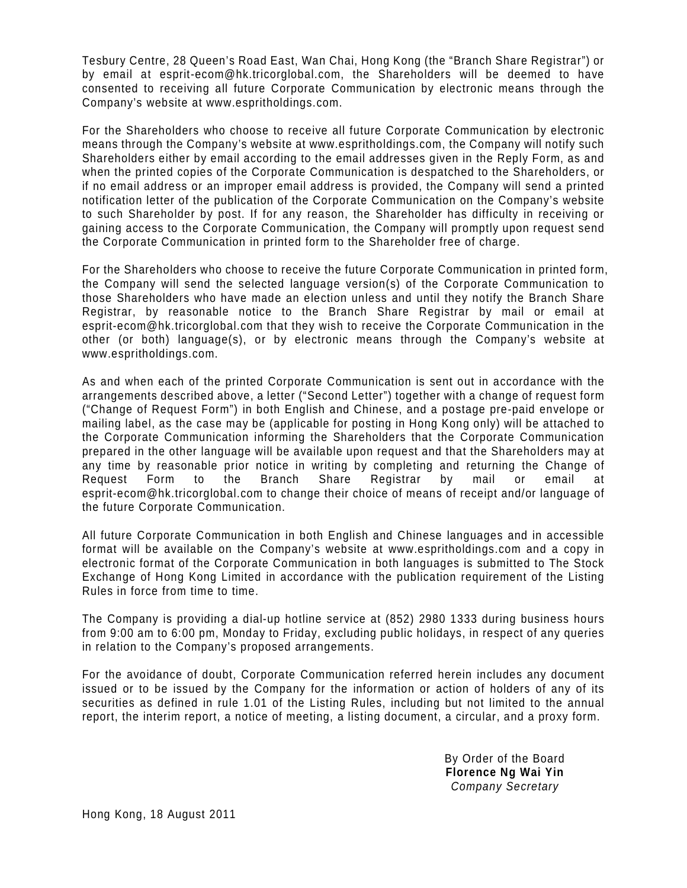Tesbury Centre, 28 Queen's Road East, Wan Chai, Hong Kong (the "Branch Share Registrar") or by email at esprit-ecom@hk.tricorglobal.com, the Shareholders will be deemed to have consented to receiving all future Corporate Communication by electronic means through the Company's website at www.espritholdings.com.

For the Shareholders who choose to receive all future Corporate Communication by electronic means through the Company's website at www.espritholdings.com, the Company will notify such Shareholders either by email according to the email addresses given in the Reply Form, as and when the printed copies of the Corporate Communication is despatched to the Shareholders, or if no email address or an improper email address is provided, the Company will send a printed notification letter of the publication of the Corporate Communication on the Company's website to such Shareholder by post. If for any reason, the Shareholder has difficulty in receiving or gaining access to the Corporate Communication, the Company will promptly upon request send the Corporate Communication in printed form to the Shareholder free of charge.

For the Shareholders who choose to receive the future Corporate Communication in printed form, the Company will send the selected language version(s) of the Corporate Communication to those Shareholders who have made an election unless and until they notify the Branch Share Registrar, by reasonable notice to the Branch Share Registrar by mail or email at esprit-ecom@hk.tricorglobal.com that they wish to receive the Corporate Communication in the other (or both) language(s), or by electronic means through the Company's website at www.espritholdings.com.

As and when each of the printed Corporate Communication is sent out in accordance with the arrangements described above, a letter ("Second Letter") together with a change of request form ("Change of Request Form") in both English and Chinese, and a postage pre-paid envelope or mailing label, as the case may be (applicable for posting in Hong Kong only) will be attached to the Corporate Communication informing the Shareholders that the Corporate Communication prepared in the other language will be available upon request and that the Shareholders may at any time by reasonable prior notice in writing by completing and returning the Change of Request Form to the Branch Share Registrar by mail or email at esprit-ecom@hk.tricorglobal.com to change their choice of means of receipt and/or language of the future Corporate Communication.

All future Corporate Communication in both English and Chinese languages and in accessible format will be available on the Company's website at www.espritholdings.com and a copy in electronic format of the Corporate Communication in both languages is submitted to The Stock Exchange of Hong Kong Limited in accordance with the publication requirement of the Listing Rules in force from time to time.

The Company is providing a dial-up hotline service at (852) 2980 1333 during business hours from 9:00 am to 6:00 pm, Monday to Friday, excluding public holidays, in respect of any queries in relation to the Company's proposed arrangements.

For the avoidance of doubt, Corporate Communication referred herein includes any document issued or to be issued by the Company for the information or action of holders of any of its securities as defined in rule 1.01 of the Listing Rules, including but not limited to the annual report, the interim report, a notice of meeting, a listing document, a circular, and a proxy form.

> By Order of the Board **Florence Ng Wai Yin**  Company Secretary

Hong Kong, 18 August 2011